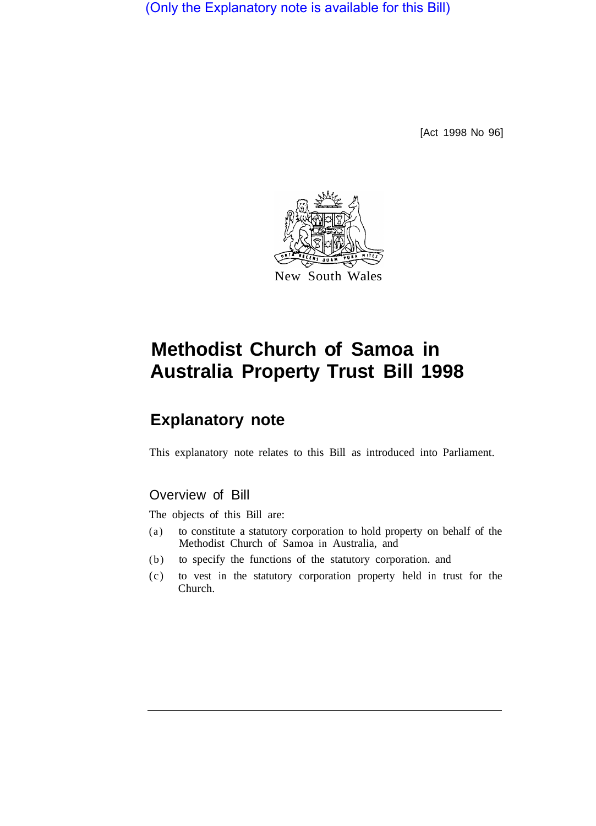(Only the Explanatory note is available for this Bill)

[Act 1998 No 96]



# **Methodist Church of Samoa in Australia Property Trust Bill 1998**

# **Explanatory note**

This explanatory note relates to this Bill as introduced into Parliament.

## Overview of Bill

The objects of this Bill are:

- (a) to constitute a statutory corporation to hold property on behalf of the Methodist Church of Samoa in Australia, and
- (b) to specify the functions of the statutory corporation. and
- (c) to vest in the statutory corporation property held in trust for the Church.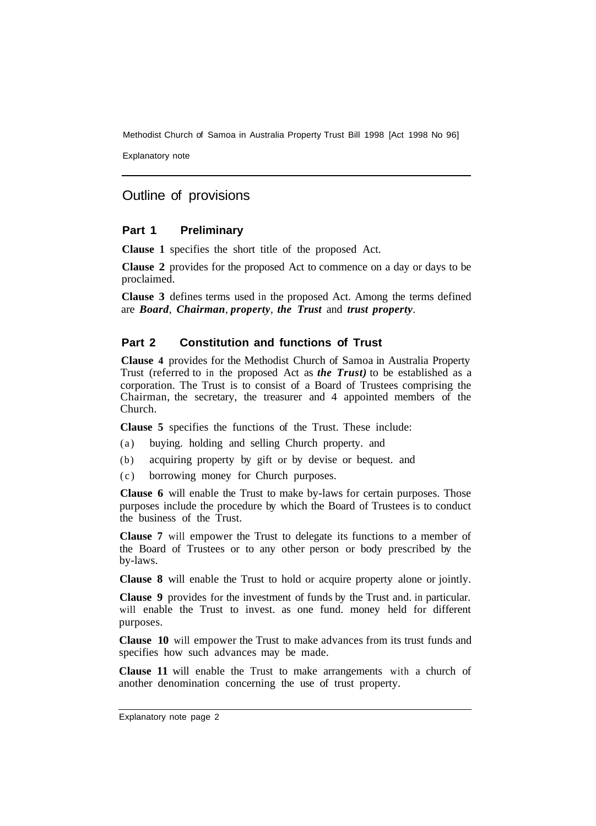Methodist Church of Samoa in Australia Property Trust Bill 1998 [Act 1998 No 96]

Explanatory note

## Outline of provisions

#### **Part 1 Preliminary**

**Clause 1** specifies the short title of the proposed Act.

**Clause 2** provides for the proposed Act to commence on a day or days to be proclaimed.

**Clause 3** defines terms used in the proposed Act. Among the terms defined are *Board*, *Chairman*, *property*, *the Trust* and *trust property*.

#### **Part 2 Constitution and functions of Trust**

**Clause 4** provides for the Methodist Church of Samoa in Australia Property Trust (referred to in the proposed Act as *the Trust)* to be established as a corporation. The Trust is to consist of a Board of Trustees comprising the Chairman, the secretary, the treasurer and 4 appointed members of the Church.

**Clause 5** specifies the functions of the Trust. These include:

- (a) buying. holding and selling Church property. and
- (b) acquiring property by gift or by devise or bequest. and
- (c) borrowing money for Church purposes.

**Clause 6** will enable the Trust to make by-laws for certain purposes. Those purposes include the procedure by which the Board of Trustees is to conduct the business of the Trust.

**Clause 7** will empower the Trust to delegate its functions to a member of the Board of Trustees or to any other person or body prescribed by the by-laws.

**Clause 8** will enable the Trust to hold or acquire property alone or jointly.

**Clause 9** provides for the investment of funds by the Trust and. in particular. will enable the Trust to invest. as one fund. money held for different purposes.

**Clause 10** will empower the Trust to make advances from its trust funds and specifies how such advances may be made.

**Clause 11** will enable the Trust to make arrangements with a church of another denomination concerning the use of trust property.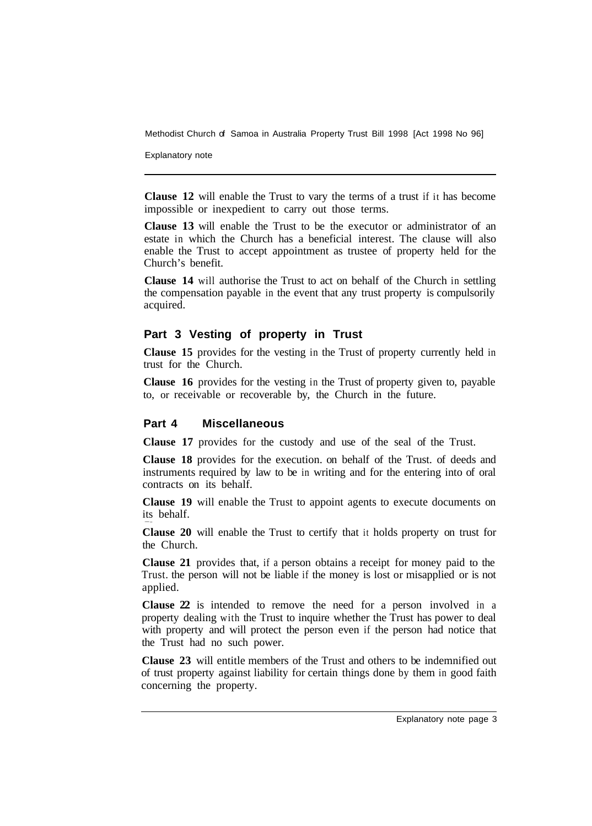Methodist Church of Samoa in Australia Property Trust Bill 1998 [Act 1998 No 96]

Explanatory note

**Clause 12** will enable the Trust to vary the terms of a trust if it has become impossible or inexpedient to carry out those terms.

**Clause 13** will enable the Trust to be the executor or administrator of an estate in which the Church has a beneficial interest. The clause will also enable the Trust to accept appointment as trustee of property held for the Church's benefit.

**Clause 14** will authorise the Trust to act on behalf of the Church in settling the compensation payable in the event that any trust property is compulsorily acquired.

#### **Part 3 Vesting of property in Trust**

**Clause 15** provides for the vesting in the Trust of property currently held in trust for the Church.

**Clause 16** provides for the vesting in the Trust of property given to, payable to, or receivable or recoverable by, the Church in the future.

#### **Part 4 Miscellaneous**

**Clause 17** provides for the custody and use of the seal of the Trust.

**Clause 18** provides for the execution. on behalf of the Trust. of deeds and instruments required by law to be in writing and for the entering into of oral contracts on its behalf.

**Clause 19** will enable the Trust to appoint agents to execute documents on its behalf.

**Clause 20** will enable the Trust to certify that it holds property on trust for the Church.

**Clause 21** provides that, if a person obtains a receipt for money paid to the Trust. the person will not be liable if the money is lost or misapplied or is not applied.

**Clause 22** is intended to remove the need for a person involved in a property dealing with the Trust to inquire whether the Trust has power to deal with property and will protect the person even if the person had notice that the Trust had no such power.

**Clause 23** will entitle members of the Trust and others to be indemnified out of trust property against liability for certain things done by them in good faith concerning the property.